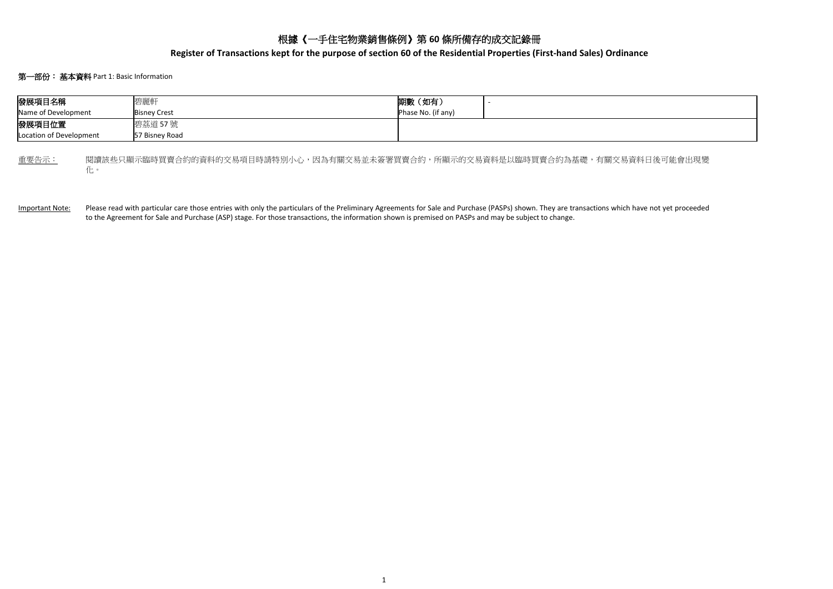## 根據《一手住宅物業銷售條例》第 **60** 條所備存的成交記錄冊

**Register of Transactions kept for the purpose of section 60 of the Residential Properties (First-hand Sales) Ordinance**

## 第一部份:基本資料 Part 1: Basic Information

| 發展項目名稱                                                                                 |  | 碧麗軒                       | 期數 (如有)            |  |  |  |  |  |  |  |
|----------------------------------------------------------------------------------------|--|---------------------------|--------------------|--|--|--|--|--|--|--|
| Name of Development                                                                    |  | <b>Bisney Crest</b>       | Phase No. (if any) |  |  |  |  |  |  |  |
| 發展項目位置<br>Location of Development                                                      |  | 碧荔道 57號<br>57 Bisnev Road |                    |  |  |  |  |  |  |  |
| 重要告示:<br>閱讀該些只顯示臨時買賣合約的資料的交易項目時請特別小心,因為有關交易並未簽署買賣合約,所顯示的交易資料是以臨時買賣合約為基礎,有關交易資料日後可能會出現變 |  |                           |                    |  |  |  |  |  |  |  |

化。

Important Note: Please read with particular care those entries with only the particulars of the Preliminary Agreements for Sale and Purchase (PASPs) shown. They are transactions which have not yet proceeded to the Agreement for Sale and Purchase (ASP) stage. For those transactions, the information shown is premised on PASPs and may be subject to change.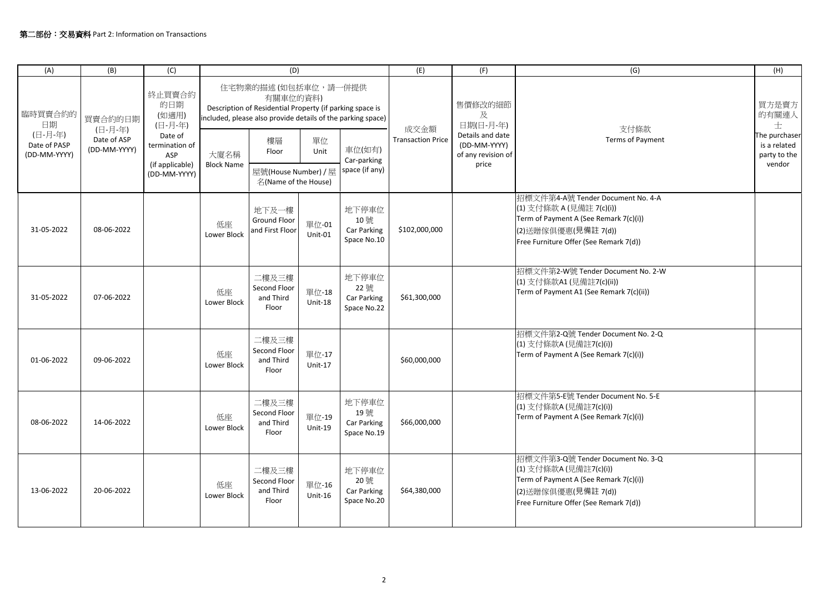| (A)                                                      | (B)                                               | (C)                                                                                                      | (D)                                                                                                                                                        |                                                                         |                         |                                            | (E)                              | (F)                                                             | (G)                                                                                                                                                                      | (H)                                                     |
|----------------------------------------------------------|---------------------------------------------------|----------------------------------------------------------------------------------------------------------|------------------------------------------------------------------------------------------------------------------------------------------------------------|-------------------------------------------------------------------------|-------------------------|--------------------------------------------|----------------------------------|-----------------------------------------------------------------|--------------------------------------------------------------------------------------------------------------------------------------------------------------------------|---------------------------------------------------------|
| 臨時買賣合約的<br>日期<br>(日-月-年)<br>Date of PASP<br>(DD-MM-YYYY) | 買賣合約的日期<br>(日-月-年)<br>Date of ASP<br>(DD-MM-YYYY) | 終止買賣合約<br>的日期<br>(如適用)<br>(日-月-年)<br>Date of<br>termination of<br>ASP<br>(if applicable)<br>(DD-MM-YYYY) | 住宅物業的描述(如包括車位,請一併提供<br>有關車位的資料)<br>Description of Residential Property (if parking space is<br>included, please also provide details of the parking space) |                                                                         |                         |                                            | 售價修改的細節<br>及<br>日期(日-月-年)        |                                                                 | 買方是賣方<br>的有關連人<br>士                                                                                                                                                      |                                                         |
|                                                          |                                                   |                                                                                                          | 大廈名稱<br><b>Block Name</b>                                                                                                                                  | 樓層<br>Floor<br>屋號(House Number) / 屋                                     | 單位<br>Unit              | 車位(如有)<br>Car-parking<br>space (if any)    | 成交金額<br><b>Transaction Price</b> | Details and date<br>(DD-MM-YYYY)<br>of any revision of<br>price | 支付條款<br>Terms of Payment                                                                                                                                                 | The purchaser<br>is a related<br>party to the<br>vendor |
| 31-05-2022                                               | 08-06-2022                                        |                                                                                                          | 低座<br>Lower Block                                                                                                                                          | 名(Name of the House)<br>地下及一樓<br><b>Ground Floor</b><br>and First Floor | 單位-01<br>Unit-01        | 地下停車位<br>10號<br>Car Parking<br>Space No.10 | \$102,000,000                    |                                                                 | 招標文件第4-A號 Tender Document No. 4-A<br>(1) 支付條款 A (見備註 7(c)(i))<br>Term of Payment A (See Remark 7(c)(i))<br>(2)送贈傢俱優惠(見備註 7(d))<br>Free Furniture Offer (See Remark 7(d)) |                                                         |
| 31-05-2022                                               | 07-06-2022                                        |                                                                                                          | 低座<br>Lower Block                                                                                                                                          | 二樓及三樓<br>Second Floor<br>and Third<br>Floor                             | 單位-18<br><b>Unit-18</b> | 地下停車位<br>22號<br>Car Parking<br>Space No.22 | \$61,300,000                     |                                                                 | 招標文件第2-W號 Tender Document No. 2-W<br>(1) 支付條款A1 (見備註7(c)(ii))<br>Term of Payment A1 (See Remark 7(c)(ii))                                                                |                                                         |
| 01-06-2022                                               | 09-06-2022                                        |                                                                                                          | 低座<br>Lower Block                                                                                                                                          | 二樓及三樓<br>Second Floor<br>and Third<br>Floor                             | 單位-17<br>$Unit-17$      |                                            | \$60,000,000                     |                                                                 | 招標文件第2-Q號 Tender Document No. 2-Q<br>(1) 支付條款A (見備註7(c)(i))<br>Term of Payment A (See Remark 7(c)(i))                                                                    |                                                         |
| 08-06-2022                                               | 14-06-2022                                        |                                                                                                          | 低座<br>Lower Block                                                                                                                                          | 二樓及三樓<br>Second Floor<br>and Third<br>Floor                             | 單位-19<br>Unit-19        | 地下停車位<br>19號<br>Car Parking<br>Space No.19 | \$66,000,000                     |                                                                 | 招標文件第5-E號 Tender Document No. 5-E<br>(1) 支付條款A (見備註7(c)(i))<br>Term of Payment A (See Remark 7(c)(i))                                                                    |                                                         |
| 13-06-2022                                               | 20-06-2022                                        |                                                                                                          | 低座<br>Lower Block                                                                                                                                          | 二樓及三樓<br>Second Floor<br>and Third<br>Floor                             | 單位-16<br>Unit-16        | 地下停車位<br>20號<br>Car Parking<br>Space No.20 | \$64,380,000                     |                                                                 | 招標文件第3-Q號 Tender Document No. 3-Q<br>(1) 支付條款A (見備註7(c)(i))<br>Term of Payment A (See Remark 7(c)(i))<br>(2)送贈傢俱優惠(見備註 7(d))<br>Free Furniture Offer (See Remark 7(d))   |                                                         |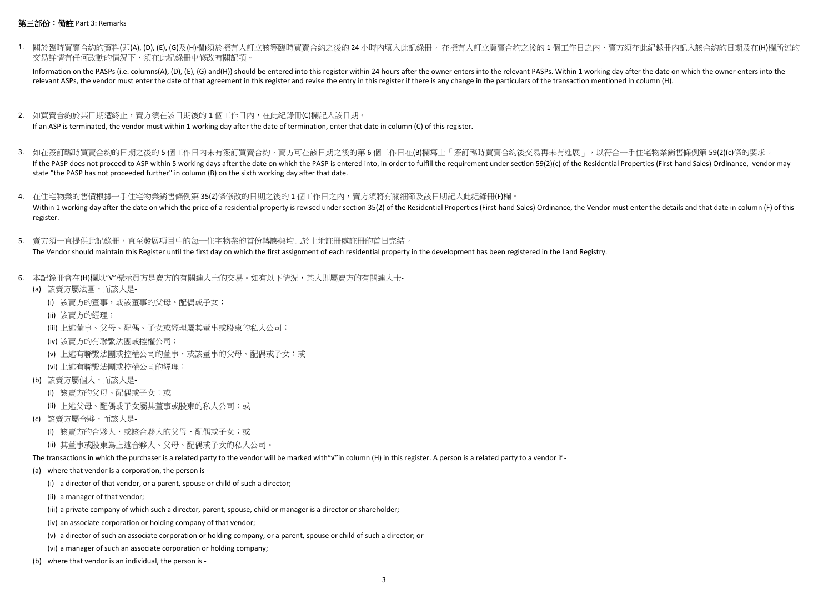## 第三部份:備註 Part 3: Remarks

1. 關於臨時買賣合約的資料(即(A), (D), (E), (G)及(H)欄)須於擁有人訂立該等臨時買賣合約之後的 24 小時內填入此記錄冊。 在擁有人訂立買賣合約之後的 1 個工作日之內,賣方須在此紀錄冊內記入該合約的日期及在(H)欄所述的 交易詳情有任何改動的情況下,須在此紀錄冊中修改有關記項。

Information on the PASPs (i.e. columns(A), (D), (E), (G) and(H)) should be entered into this register within 24 hours after the owner enters into the relevant PASPs. Within 1 working day after the date on which the owner e relevant ASPs, the vendor must enter the date of that agreement in this register and revise the entry in this register if there is any change in the particulars of the transaction mentioned in column (H).

- 2. 如買賣合約於某日期遭終止,賣方須在該日期後的 1 個工作日內,在此紀錄冊(C)欄記入該日期。 If an ASP is terminated, the vendor must within 1 working day after the date of termination, enter that date in column (C) of this register.
- 3. 如在簽訂臨時買賣合約的日期之後的 5 個工作日内未有簽訂買賣合約,賣方可在該日期之後的第 6 個工作日在(B)欄寫上「簽訂臨時買賣合約後交易再未有進展」,以符合一手住宅物業銷售條例第 59(2)(c)條的要求。 If the PASP does not proceed to ASP within 5 working days after the date on which the PASP is entered into, in order to fulfill the requirement under section 59(2)(c) of the Residential Properties (First-hand Sales) Ordina state "the PASP has not proceeded further" in column (B) on the sixth working day after that date.

4. 在住宅物業的售價根據一手住宅物業銷售條例第 35(2)條修改的日期之後的 1 個工作日之内,賣方須將有關細節及該日期記入此紀錄冊(F)欄。 Within 1 working day after the date on which the price of a residential property is revised under section 35(2) of the Residential Properties (First-hand Sales) Ordinance, the Vendor must enter the details and that date in register.

- 5. 賣方須一直提供此記錄冊,直至發展項目中的每一住宅物業的首份轉讓契均已於土地註冊處註冊的首日完結。 The Vendor should maintain this Register until the first day on which the first assignment of each residential property in the development has been registered in the Land Registry.
- 6. 本記錄冊會在(H)欄以"√"標示買方是賣方的有關連人士的交易。如有以下情況,某人即屬賣方的有關連人士-
	- (a) 該賣方屬法團,而該人是-
		- (i) 該賣方的董事,或該董事的父母、配偶或子女;
		- (ii) 該賣方的經理;
		- (iii) 上述董事、父母、配偶、子女或經理屬其董事或股東的私人公司;
		- (iv) 該賣方的有聯繫法團或控權公司;
		- (v) 上述有聯繫法團或控權公司的董事,或該董事的父母、配偶或子女;或
		- (vi) 上述有聯繫法團或控權公司的經理;
	- (b) 該賣方屬個人,而該人是-
		- (i) 該賣方的父母、配偶或子女;或
		- (ii) 上述父母、配偶或子女屬其董事或股東的私人公司;或
	- (c) 該賣方屬合夥,而該人是-
		- (i) 該賣方的合夥人,或該合夥人的父母、配偶或子女;或
		- (ii) 其董事或股東為上述合夥人、父母、配偶或子女的私人公司。

The transactions in which the purchaser is a related party to the vendor will be marked with"√" in column (H) in this register. A person is a related party to a vendor if -

- (a) where that vendor is a corporation, the person is
	- (i) a director of that vendor, or a parent, spouse or child of such a director;
	- (ii) a manager of that vendor;
	- (iii) a private company of which such a director, parent, spouse, child or manager is a director or shareholder;
	- (iv) an associate corporation or holding company of that vendor;
	- (v) a director of such an associate corporation or holding company, or a parent, spouse or child of such a director; or
	- (vi) a manager of such an associate corporation or holding company;
- (b) where that vendor is an individual, the person is -